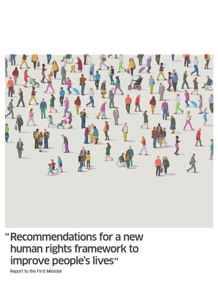

## "Recommendations for a new human rights framework to improve people's lives"

Report to the First Minister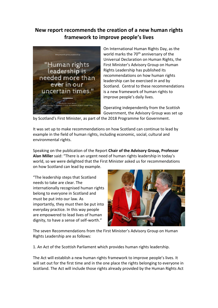## **New report recommends the creation of a new human rights framework to improve people's lives**



On International Human Rights Day, as the world marks the 70<sup>th</sup> anniversary of the Universal Declaration on Human Rights, the First Minister's Advisory Group on Human Rights Leadership has published its recommendations on how human rights leadership can be exercised in and by Scotland. Central to these recommendations is a new framework of human rights to improve people's daily lives.

Operating independently from the Scottish Government, the Advisory Group was set up

by Scotland's First Minister, as part of the 2018 Programme for Government.

It was set up to make recommendations on how Scotland can continue to lead by example in the field of human rights, including economic, social, cultural and environmental rights.

Speaking on the publication of the Report **Chair of the Advisory Group, Professor Alan Miller** said: "There is an urgent need of human rights leadership in today's world, so we were delighted that the First Minister asked us for recommendations on how Scotland can lead by example.

"The leadership steps that Scotland needs to take are clear. The internationally recognised human rights belong to everyone in Scotland and must be put into our law. As importantly, they must then be put into everyday practice. In this way people are empowered to lead lives of human dignity, to have a sense of self-worth."



The seven Recommendations from the First Minister's Advisory Group on Human Rights Leadership are as follows:

1. An Act of the Scottish Parliament which provides human rights leadership.

The Act will establish a new human rights framework to improve people's lives. It will set out for the first time and in the one place the rights belonging to everyone in Scotland. The Act will include those rights already provided by the Human Rights Act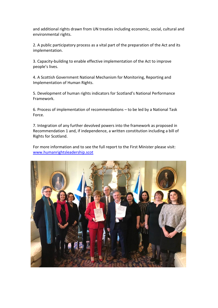and additional rights drawn from UN treaties including economic, social, cultural and environmental rights.

2. A public participatory process as a vital part of the preparation of the Act and its implementation.

3. Capacity-building to enable effective implementation of the Act to improve people's lives.

4. A Scottish Government National Mechanism for Monitoring, Reporting and Implementation of Human Rights.

5. Development of human rights indicators for Scotland's National Performance Framework.

6. Process of implementation of recommendations – to be led by a National Task Force.

7. Integration of any further devolved powers into the framework as proposed in Recommendation 1 and, if independence, a written constitution including a bill of Rights for Scotland.

For more information and to see the full report to the First Minister please visit: [www.humanrightsleadership.scot](http://www.humanrightsleadership.scot/)